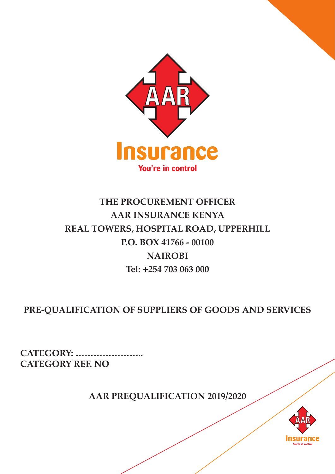

# **THE PROCUREMENT OFFICER AAR INSURANCE KENYA REAL TOWERS, HOSPITAL ROAD, UPPERHILL P.O. BOX 41766 - 00100 NAIROBI Tel: +254 703 063 000**

**PRE-QUALIFICATION OF SUPPLIERS OF GOODS AND SERVICES**

**CATEGORY: ………………….. CATEGORY REF. NO** 

**AAR PREQUALIFICATION 2019/2020**

AAR INSURANCE KENYA | REAL TOWERS, HOSPITAL ROAD, UPPERHILL | P.O. BOX 41766 - 00100 NAIROBI | Tel: +254 703 063 000 | 1

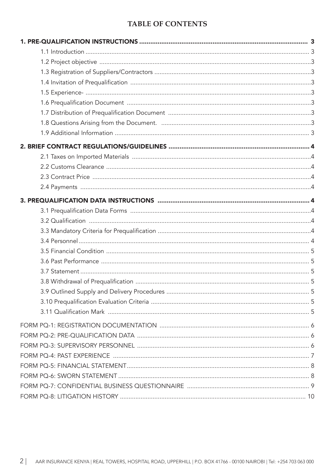# **TABLE OF CONTENTS**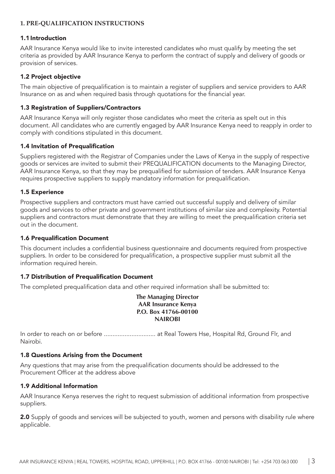## **1. PRE-QUALIFICATION INSTRUCTIONS**

#### 1.1 Introduction

AAR Insurance Kenya would like to invite interested candidates who must qualify by meeting the set criteria as provided by AAR Insurance Kenya to perform the contract of supply and delivery of goods or provision of services.

#### 1.2 Project objective

The main objective of prequalification is to maintain a register of suppliers and service providers to AAR Insurance on as and when required basis through quotations for the financial year.

#### 1.3 Registration of Suppliers/Contractors

AAR Insurance Kenya will only register those candidates who meet the criteria as spelt out in this document. All candidates who are currently engaged by AAR Insurance Kenya need to reapply in order to comply with conditions stipulated in this document.

#### 1.4 Invitation of Prequalification

Suppliers registered with the Registrar of Companies under the Laws of Kenya in the supply of respective goods or services are invited to submit their PREQUALIFICATION documents to the Managing Director, AAR Insurance Kenya, so that they may be prequalified for submission of tenders. AAR Insurance Kenya requires prospective suppliers to supply mandatory information for prequalification.

#### 1.5 Experience

Prospective suppliers and contractors must have carried out successful supply and delivery of similar goods and services to other private and government institutions of similar size and complexity. Potential suppliers and contractors must demonstrate that they are willing to meet the prequalification criteria set out in the document.

#### 1.6 Prequalification Document

This document includes a confidential business questionnaire and documents required from prospective suppliers. In order to be considered for prequalification, a prospective supplier must submit all the information required herein.

#### 1.7 Distribution of Prequalification Document

The completed prequalification data and other required information shall be submitted to:

**The Managing Director AAR Insurance Kenya P.O. Box 41766-00100 NAIROBI** 

In order to reach on or before ................................. at Real Towers Hse, Hospital Rd, Ground Flr, and Nairobi.

#### 1.8 Questions Arising from the Document

Any questions that may arise from the prequalification documents should be addressed to the Procurement Officer at the address above

#### 1.9 Additional Information

AAR Insurance Kenya reserves the right to request submission of additional information from prospective suppliers.

2.0 Supply of goods and services will be subjected to youth, women and persons with disability rule where applicable.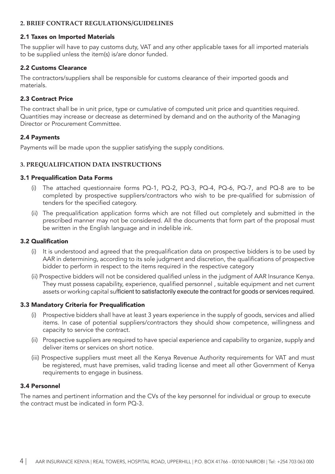## **2. BRIEF CONTRACT REGULATIONS/GUIDELINES**

#### 2.1 Taxes on Imported Materials

The supplier will have to pay customs duty, VAT and any other applicable taxes for all imported materials to be supplied unless the item(s) is/are donor funded.

## 2.2 Customs Clearance

The contractors/suppliers shall be responsible for customs clearance of their imported goods and materials.

## 2.3 Contract Price

The contract shall be in unit price, type or cumulative of computed unit price and quantities required. Quantities may increase or decrease as determined by demand and on the authority of the Managing Director or Procurement Committee.

## 2.4 Payments

Payments will be made upon the supplier satisfying the supply conditions.

# **3. PREQUALIFICATION DATA INSTRUCTIONS**

#### 3.1 Prequalification Data Forms

- (i) The attached questionnaire forms PQ-1, PQ-2, PQ-3, PQ-4, PQ-6, PQ-7, and PQ-8 are to be completed by prospective suppliers/contractors who wish to be pre-qualified for submission of tenders for the specified category.
- (ii) The prequalification application forms which are not filled out completely and submitted in the prescribed manner may not be considered. All the documents that form part of the proposal must be written in the English language and in indelible ink.

#### 3.2 Qualification

- (i) It is understood and agreed that the prequalification data on prospective bidders is to be used by AAR in determining, according to its sole judgment and discretion, the qualifications of prospective bidder to perform in respect to the items required in the respective category
- (ii) Prospective bidders will not be considered qualified unless in the judgment of AAR Insurance Kenya. They must possess capability, experience, qualified personnel , suitable equipment and net current assets or working capital sufficient to satisfactorily execute the contract for goods or services required.

#### 3.3 Mandatory Criteria for Prequalification

- (i) Prospective bidders shall have at least 3 years experience in the supply of goods, services and allied items. In case of potential suppliers/contractors they should show competence, willingness and capacity to service the contract.
- (ii) Prospective suppliers are required to have special experience and capability to organize, supply and deliver items or services on short notice.
- (iii) Prospective suppliers must meet all the Kenya Revenue Authority requirements for VAT and must be registered, must have premises, valid trading license and meet all other Government of Kenya requirements to engage in business.

#### 3.4 Personnel

The names and pertinent information and the CVs of the key personnel for individual or group to execute the contract must be indicated in form PQ-3.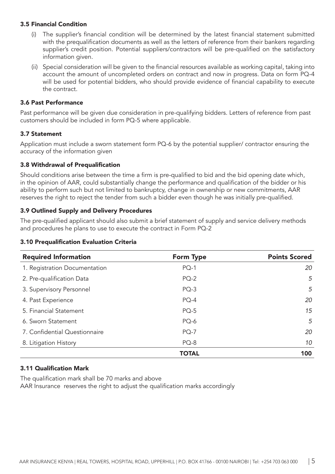#### 3.5 Financial Condition

- (i) The supplier's financial condition will be determined by the latest financial statement submitted with the prequalification documents as well as the letters of reference from their bankers regarding supplier's credit position. Potential suppliers/contractors will be pre-qualified on the satisfactory information given.
- (ii) Special consideration will be given to the financial resources available as working capital, taking into account the amount of uncompleted orders on contract and now in progress. Data on form PQ-4 will be used for potential bidders, who should provide evidence of financial capability to execute the contract.

#### 3.6 Past Performance

Past performance will be given due consideration in pre-qualifying bidders. Letters of reference from past customers should be included in form PQ-5 where applicable.

#### 3.7 Statement

Application must include a sworn statement form PQ-6 by the potential supplier/ contractor ensuring the accuracy of the information given

#### 3.8 Withdrawal of Prequalification

Should conditions arise between the time a firm is pre-qualified to bid and the bid opening date which, in the opinion of AAR, could substantially change the performance and qualification of the bidder or his ability to perform such but not limited to bankruptcy, change in ownership or new commitments, AAR reserves the right to reject the tender from such a bidder even though he was initially pre-qualified.

#### 3.9 Outlined Supply and Delivery Procedures

The pre-qualified applicant should also submit a brief statement of supply and service delivery methods and procedures he plans to use to execute the contract in Form PQ-2

#### 3.10 Prequalification Evaluation Criteria

| <b>Required Information</b>   | <b>Form Type</b> | <b>Points Scored</b> |
|-------------------------------|------------------|----------------------|
| 1. Registration Documentation | $PQ-1$           | 20                   |
| 2. Pre-qualification Data     | $PQ-2$           | 5                    |
| 3. Supervisory Personnel      | $PQ-3$           | 5                    |
| 4. Past Experience            | $PQ-4$           | 20                   |
| 5. Financial Statement        | $PQ-5$           | 15                   |
| 6. Sworn Statement            | PQ-6             | 5                    |
| 7. Confidential Questionnaire | $PQ-7$           | 20                   |
| 8. Litigation History         | $PQ-8$           | 10                   |
|                               | <b>TOTAL</b>     | 100                  |

#### 3.11 Qualification Mark

The qualification mark shall be 70 marks and above AAR Insurance reserves the right to adjust the qualification marks accordingly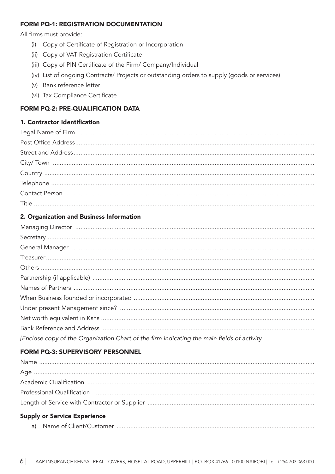## **FORM PQ-1: REGISTRATION DOCUMENTATION**

All firms must provide:

- (i) Copy of Certificate of Registration or Incorporation
- (ii) Copy of VAT Registration Certificate
- (iii) Copy of PIN Certificate of the Firm/ Company/Individual
- (iv) List of ongoing Contracts/ Projects or outstanding orders to supply (goods or services).
- (v) Bank reference letter
- (vi) Tax Compliance Certificate

# FORM PQ-2: PRE-QUALIFICATION DATA

# 1. Contractor Identification

# 2. Organization and Business Information

| [Enclose copy of the Organization Chart of the firm indicating the main fields of activity |
|--------------------------------------------------------------------------------------------|

# FORM PQ-3: SUPERVISORY PERSONNEL

| <b>Supply or Service Experience</b> |
|-------------------------------------|
|                                     |
|                                     |
|                                     |
|                                     |
|                                     |

| a) |  |
|----|--|
|----|--|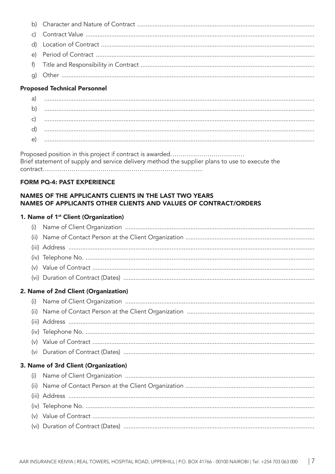# **Proposed Technical Personnel**

| a            |  |
|--------------|--|
| $\mathsf{b}$ |  |
|              |  |
| ď            |  |
| e.           |  |

# **FORM PQ-4: PAST EXPERIENCE**

# NAMES OF THE APPLICANTS CLIENTS IN THE LAST TWO YEARS NAMES OF APPLICANTS OTHER CLIENTS AND VALUES OF CONTRACT/ORDERS

# 1. Name of 1<sup>st</sup> Client (Organization)

| (i)                                  |                                      |  |
|--------------------------------------|--------------------------------------|--|
| (iii)                                |                                      |  |
|                                      |                                      |  |
|                                      |                                      |  |
|                                      |                                      |  |
|                                      |                                      |  |
|                                      | 2. Name of 2nd Client (Organization) |  |
| (i)                                  |                                      |  |
| (ii)                                 |                                      |  |
|                                      |                                      |  |
|                                      |                                      |  |
|                                      |                                      |  |
| (vi                                  |                                      |  |
| 3. Name of 3rd Client (Organization) |                                      |  |
| (i)                                  |                                      |  |
| (ii)                                 |                                      |  |
|                                      |                                      |  |
|                                      |                                      |  |
|                                      |                                      |  |
|                                      |                                      |  |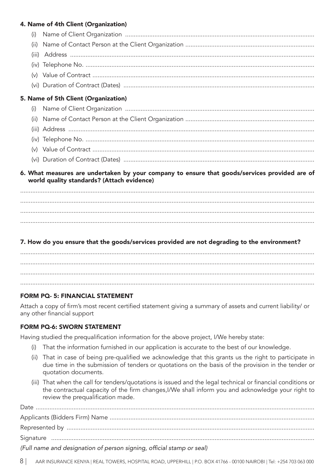# 4. Name of 4th Client (Organization)

| (i)                                                                                                                                         |                                      |  |  |
|---------------------------------------------------------------------------------------------------------------------------------------------|--------------------------------------|--|--|
| (ii)                                                                                                                                        |                                      |  |  |
| (iii)                                                                                                                                       |                                      |  |  |
|                                                                                                                                             |                                      |  |  |
|                                                                                                                                             |                                      |  |  |
|                                                                                                                                             |                                      |  |  |
|                                                                                                                                             | 5. Name of 5th Client (Organization) |  |  |
| (i)                                                                                                                                         |                                      |  |  |
|                                                                                                                                             |                                      |  |  |
|                                                                                                                                             |                                      |  |  |
|                                                                                                                                             |                                      |  |  |
|                                                                                                                                             |                                      |  |  |
|                                                                                                                                             |                                      |  |  |
| 6. What measures are undertaken by your company to ensure that goods/services provided are of<br>world quality standards? (Attach evidence) |                                      |  |  |

# 7. How do you ensure that the goods/services provided are not degrading to the environment?

# **FORM PQ- 5: FINANCIAL STATEMENT**

Attach a copy of firm's most recent certified statement giving a summary of assets and current liability/ or any other financial support

# **FORM PQ-6: SWORN STATEMENT**

Having studied the prequalification information for the above project, I/We hereby state:

- (i) That the information furnished in our application is accurate to the best of our knowledge.
- (ii) That in case of being pre-qualified we acknowledge that this grants us the right to participate in due time in the submission of tenders or quotations on the basis of the provision in the tender or quotation documents.
- (iii) That when the call for tenders/quotations is issued and the legal technical or financial conditions or the contractual capacity of the firm changes, I/We shall inform you and acknowledge your right to review the prequalification made.

| (Full name and designation of person signing, official stamp or seal) |  |  |  |
|-----------------------------------------------------------------------|--|--|--|

81 AAR INSURANCE KENYA | REAL TOWERS, HOSPITAL ROAD, UPPERHILL | P.O. BOX 41766 - 00100 NAIROBI | Tel: +254 703 063 000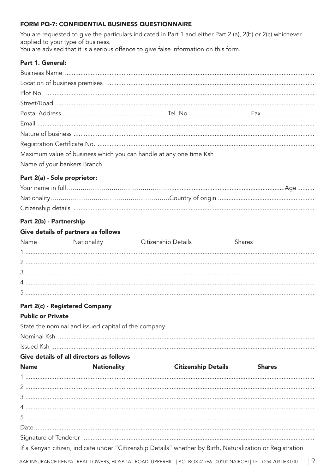## FORM PQ-7: CONFIDENTIAL BUSINESS QUESTIONNAIRE

You are requested to give the particulars indicated in Part 1 and either Part 2 (a), 2(b) or 2(c) whichever applied to your type of business.

You are advised that it is a serious offence to give false information on this form.

## Part 1. General:

| Maximum value of business which you can handle at any one time Ksh |  |  |  |
|--------------------------------------------------------------------|--|--|--|
| Name of your bankers Branch                                        |  |  |  |

# Part 2(a) - Sole proprietor:

# Part 2(b) - Partnership

# Give details of partners as follows

| Name                     | Nationality                                         | Citizenship Details | Shares |  |
|--------------------------|-----------------------------------------------------|---------------------|--------|--|
|                          |                                                     |                     |        |  |
|                          |                                                     |                     |        |  |
|                          |                                                     |                     |        |  |
|                          |                                                     |                     |        |  |
|                          |                                                     |                     |        |  |
|                          | Part 2(c) - Registered Company                      |                     |        |  |
| <b>Public or Private</b> |                                                     |                     |        |  |
|                          | State the nominal and issued capital of the company |                     |        |  |

| Give details of all directors as follows |
|------------------------------------------|
|                                          |
|                                          |

| <b>Name</b> | <b>Nationality</b> | <b>Citizenship Details</b>                                                                                 | <b>Shares</b> |
|-------------|--------------------|------------------------------------------------------------------------------------------------------------|---------------|
|             |                    |                                                                                                            |               |
|             |                    |                                                                                                            |               |
|             |                    |                                                                                                            |               |
|             |                    |                                                                                                            |               |
|             |                    |                                                                                                            |               |
|             |                    |                                                                                                            |               |
|             |                    |                                                                                                            |               |
|             |                    | If a Kenyan citizen, indicate under "Citizenship Details" whether by Birth, Naturalization or Registration |               |
|             |                    |                                                                                                            |               |